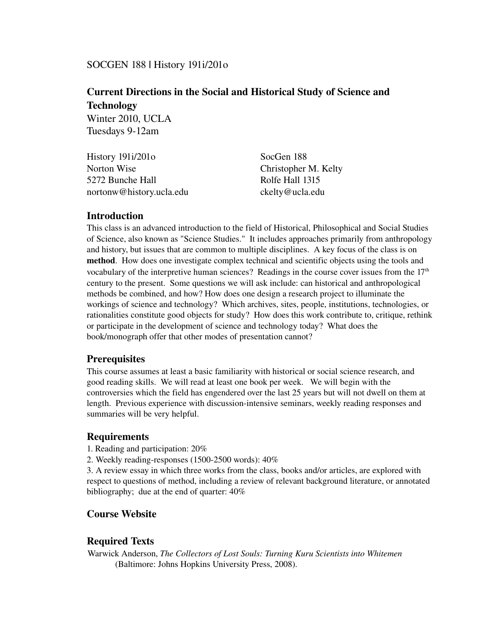## SOCGEN 188 | History 191i/201o

# Current Directions in the Social and Historical Study of Science and Technology Winter 2010, UCLA

Tuesdays 9-12am

| History $191i/201o$      | SocGen 188           |
|--------------------------|----------------------|
| Norton Wise              | Christopher M. Kelty |
| 5272 Bunche Hall         | Rolfe Hall 1315      |
| nortonw@history.ucla.edu | ckelty@ucla.edu      |

## Introduction

This class is an advanced introduction to the field of Historical, Philosophical and Social Studies of Science, also known as "Science Studies." It includes approaches primarily from anthropology and history, but issues that are common to multiple disciplines. A key focus of the class is on method. How does one investigate complex technical and scientific objects using the tools and vocabulary of the interpretive human sciences? Readings in the course cover issues from the  $17<sup>th</sup>$ century to the present. Some questions we will ask include: can historical and anthropological methods be combined, and how? How does one design a research project to illuminate the workings of science and technology? Which archives, sites, people, institutions, technologies, or rationalities constitute good objects for study? How does this work contribute to, critique, rethink or participate in the development of science and technology today? What does the book/monograph offer that other modes of presentation cannot?

### **Prerequisites**

This course assumes at least a basic familiarity with historical or social science research, and good reading skills. We will read at least one book per week. We will begin with the controversies which the field has engendered over the last 25 years but will not dwell on them at length. Previous experience with discussion-intensive seminars, weekly reading responses and summaries will be very helpful.

### **Requirements**

- 1. Reading and participation: 20%
- 2. Weekly reading-responses (1500-2500 words):  $40\%$

3. A review essay in which three works from the class, books and/or articles, are explored with respect to questions of method, including a review of relevant background literature, or annotated bibliography; due at the end of quarter: 40%

# Course Website

# Required Texts

Warwick Anderson, *The Collectors of Lost Souls: Turning Kuru Scientists into Whitemen* (Baltimore: Johns Hopkins University Press, 2008).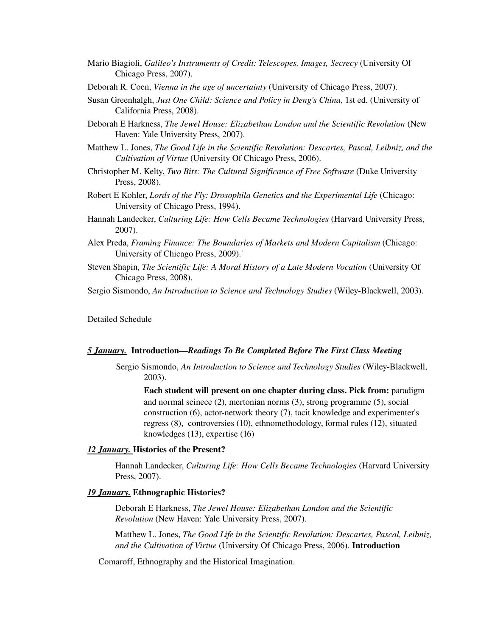- Mario Biagioli, *Galileo's Instruments of Credit: Telescopes, Images, Secrecy* (University Of Chicago Press, 2007).
- Deborah R. Coen, *Vienna in the age of uncertainty* (University of Chicago Press, 2007).
- Susan Greenhalgh, *Just One Child: Science and Policy in Deng's China*, 1st ed. (University of California Press, 2008).
- Deborah E Harkness, *The Jewel House: Elizabethan London and the Scientific Revolution* (New Haven: Yale University Press, 2007).
- Matthew L. Jones, *The Good Life in the Scientific Revolution: Descartes, Pascal, Leibniz, and the Cultivation of Virtue* (University Of Chicago Press, 2006).
- Christopher M. Kelty, *Two Bits: The Cultural Significance of Free Software* (Duke University Press, 2008).
- Robert E Kohler, *Lords of the Fly: Drosophila Genetics and the Experimental Life* (Chicago: University of Chicago Press, 1994).
- Hannah Landecker, *Culturing Life: How Cells Became Technologies* (Harvard University Press, 2007).
- Alex Preda, *Framing Finance: The Boundaries of Markets and Modern Capitalism* (Chicago: University of Chicago Press, 2009).'
- Steven Shapin, *The Scientific Life: A Moral History of a Late Modern Vocation* (University Of Chicago Press, 2008).

Sergio Sismondo, *An Introduction to Science and Technology Studies* (Wiley-Blackwell, 2003).

Detailed Schedule

#### *5 January.* Introduction—*Readings To Be Completed Before The First Class Meeting*

Sergio Sismondo, *An Introduction to Science and Technology Studies* (Wiley-Blackwell, 2003).

Each student will present on one chapter during class. Pick from: paradigm and normal scinece (2), mertonian norms (3), strong programme (5), social construction  $(6)$ , actor-network theory  $(7)$ , tacit knowledge and experimenter's regress (8), controversies (10), ethnomethodology, formal rules (12), situated knowledges (13), expertise (16)

#### *12 January.* Histories of the Present?

Hannah Landecker, *Culturing Life: How Cells Became Technologies* (Harvard University Press, 2007).

#### *19 January.* Ethnographic Histories?

Deborah E Harkness, *The Jewel House: Elizabethan London and the Scientific Revolution* (New Haven: Yale University Press, 2007).

Matthew L. Jones, *The Good Life in the Scientific Revolution: Descartes, Pascal, Leibniz, and the Cultivation of Virtue* (University Of Chicago Press, 2006). Introduction

Comaroff, Ethnography and the Historical Imagination.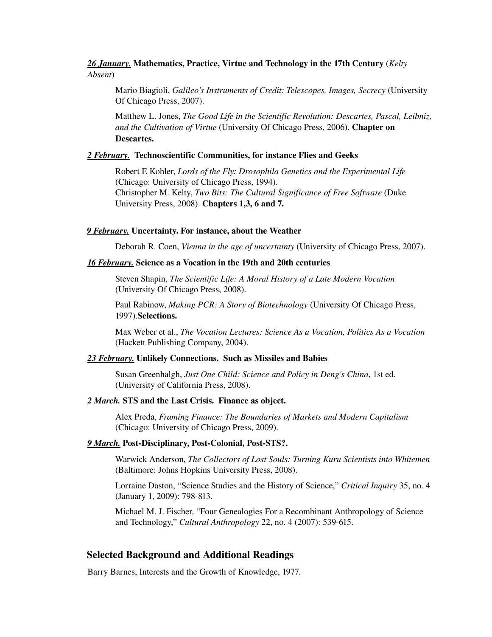### *26 January.* Mathematics, Practice, Virtue and Technology in the 17th Century (*Kelty Absent*)

Mario Biagioli, *Galileo's Instruments of Credit: Telescopes, Images, Secrecy* (University Of Chicago Press, 2007).

Matthew L. Jones, *The Good Life in the Scientific Revolution: Descartes, Pascal, Leibniz, and the Cultivation of Virtue* (University Of Chicago Press, 2006). Chapter on Descartes.

### *2 February.* Technoscientific Communities, for instance Flies and Geeks

Robert E Kohler, *Lords of the Fly: Drosophila Genetics and the Experimental Life* (Chicago: University of Chicago Press, 1994). Christopher M. Kelty, *Two Bits: The Cultural Significance of Free Software* (Duke University Press, 2008). Chapters 1,3, 6 and 7.

#### *9 February.* Uncertainty. For instance, about the Weather

Deborah R. Coen, *Vienna in the age of uncertainty* (University of Chicago Press, 2007).

#### *16 February.* Science as a Vocation in the 19th and 20th centuries

Steven Shapin, *The Scientific Life: A Moral History of a Late Modern Vocation* (University Of Chicago Press, 2008).

Paul Rabinow, *Making PCR: A Story of Biotechnology* (University Of Chicago Press, 1997).Selections.

Max Weber et al., *The Vocation Lectures: Science As a Vocation, Politics As a Vocation* (Hackett Publishing Company, 2004).

#### *23 February.* Unlikely Connections. Such as Missiles and Babies

Susan Greenhalgh, *Just One Child: Science and Policy in Deng's China*, 1st ed. (University of California Press, 2008).

#### *2 March.* STS and the Last Crisis. Finance as object.

Alex Preda, *Framing Finance: The Boundaries of Markets and Modern Capitalism* (Chicago: University of Chicago Press, 2009).

#### *9 March.* Post-Disciplinary, Post-Colonial, Post-STS?.

Warwick Anderson, *The Collectors of Lost Souls: Turning Kuru Scientists into Whitemen* (Baltimore: Johns Hopkins University Press, 2008).

Lorraine Daston, "Science Studies and the History of Science," *Critical Inquiry* 35, no. 4 (January 1, 2009): 798-813.

Michael M. J. Fischer, "Four Genealogies For a Recombinant Anthropology of Science and Technology," *Cultural Anthropology* 22, no. 4 (2007): 539-615.

### Selected Background and Additional Readings

Barry Barnes, Interests and the Growth of Knowledge, 1977.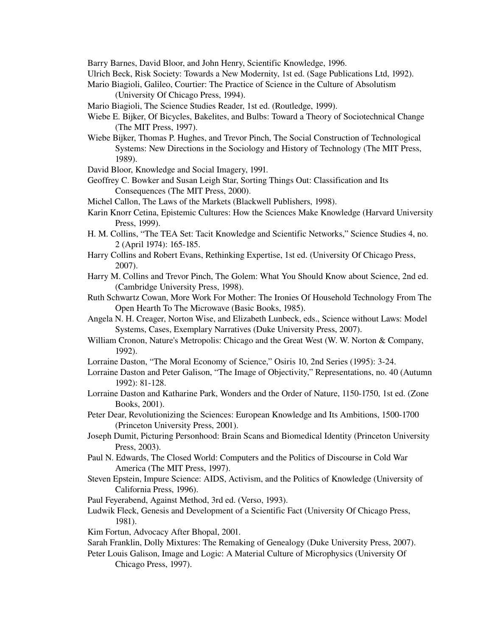Barry Barnes, David Bloor, and John Henry, Scientific Knowledge, 1996.

Ulrich Beck, Risk Society: Towards a New Modernity, 1st ed. (Sage Publications Ltd, 1992).

- Mario Biagioli, Galileo, Courtier: The Practice of Science in the Culture of Absolutism (University Of Chicago Press, 1994).
- Mario Biagioli, The Science Studies Reader, 1st ed. (Routledge, 1999).

Wiebe E. Bijker, Of Bicycles, Bakelites, and Bulbs: Toward a Theory of Sociotechnical Change (The MIT Press, 1997).

Wiebe Bijker, Thomas P. Hughes, and Trevor Pinch, The Social Construction of Technological Systems: New Directions in the Sociology and History of Technology (The MIT Press, 1989).

David Bloor, Knowledge and Social Imagery, 1991.

- Geoffrey C. Bowker and Susan Leigh Star, Sorting Things Out: Classification and Its Consequences (The MIT Press, 2000).
- Michel Callon, The Laws of the Markets (Blackwell Publishers, 1998).
- Karin Knorr Cetina, Epistemic Cultures: How the Sciences Make Knowledge (Harvard University Press, 1999).
- H. M. Collins, "The TEA Set: Tacit Knowledge and Scientific Networks," Science Studies 4, no. 2 (April 1974): 165-185.
- Harry Collins and Robert Evans, Rethinking Expertise, 1st ed. (University Of Chicago Press, 2007).
- Harry M. Collins and Trevor Pinch, The Golem: What You Should Know about Science, 2nd ed. (Cambridge University Press, 1998).
- Ruth Schwartz Cowan, More Work For Mother: The Ironies Of Household Technology From The Open Hearth To The Microwave (Basic Books, 1985).
- Angela N. H. Creager, Norton Wise, and Elizabeth Lunbeck, eds., Science without Laws: Model Systems, Cases, Exemplary Narratives (Duke University Press, 2007).
- William Cronon, Nature's Metropolis: Chicago and the Great West (W. W. Norton & Company, 1992).
- Lorraine Daston, "The Moral Economy of Science," Osiris 10, 2nd Series (1995): 324.
- Lorraine Daston and Peter Galison, "The Image of Objectivity," Representations, no. 40 (Autumn 1992): 81-128.
- Lorraine Daston and Katharine Park, Wonders and the Order of Nature, 1150-1750, 1st ed. (Zone Books, 2001).
- Peter Dear, Revolutionizing the Sciences: European Knowledge and Its Ambitions, 1500-1700 (Princeton University Press, 2001).
- Joseph Dumit, Picturing Personhood: Brain Scans and Biomedical Identity (Princeton University Press, 2003).
- Paul N. Edwards, The Closed World: Computers and the Politics of Discourse in Cold War America (The MIT Press, 1997).
- Steven Epstein, Impure Science: AIDS, Activism, and the Politics of Knowledge (University of California Press, 1996).
- Paul Feyerabend, Against Method, 3rd ed. (Verso, 1993).
- Ludwik Fleck, Genesis and Development of a Scientific Fact (University Of Chicago Press, 1981).
- Kim Fortun, Advocacy After Bhopal, 2001.
- Sarah Franklin, Dolly Mixtures: The Remaking of Genealogy (Duke University Press, 2007).
- Peter Louis Galison, Image and Logic: A Material Culture of Microphysics (University Of Chicago Press, 1997).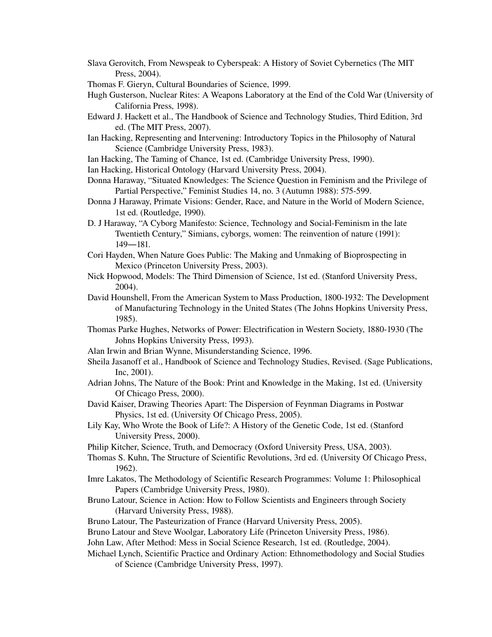- Slava Gerovitch, From Newspeak to Cyberspeak: A History of Soviet Cybernetics (The MIT Press, 2004).
- Thomas F. Gieryn, Cultural Boundaries of Science, 1999.
- Hugh Gusterson, Nuclear Rites: A Weapons Laboratory at the End of the Cold War (University of California Press, 1998).
- Edward J. Hackett et al., The Handbook of Science and Technology Studies, Third Edition, 3rd ed. (The MIT Press, 2007).
- Ian Hacking, Representing and Intervening: Introductory Topics in the Philosophy of Natural Science (Cambridge University Press, 1983).
- Ian Hacking, The Taming of Chance, 1st ed. (Cambridge University Press, 1990).
- Ian Hacking, Historical Ontology (Harvard University Press, 2004).
- Donna Haraway, "Situated Knowledges: The Science Question in Feminism and the Privilege of Partial Perspective," Feminist Studies 14, no. 3 (Autumn 1988): 575-599.
- Donna J Haraway, Primate Visions: Gender, Race, and Nature in the World of Modern Science, 1st ed. (Routledge, 1990).
- D. J Haraway, "A Cyborg Manifesto: Science, Technology and Social-Feminism in the late Twentieth Century," Simians, cyborgs, women: The reinvention of nature (1991):  $149 - 181.$
- Cori Hayden, When Nature Goes Public: The Making and Unmaking of Bioprospecting in Mexico (Princeton University Press, 2003).
- Nick Hopwood, Models: The Third Dimension of Science, 1st ed. (Stanford University Press, 2004).
- David Hounshell, From the American System to Mass Production, 1800-1932: The Development of Manufacturing Technology in the United States (The Johns Hopkins University Press, 1985).
- Thomas Parke Hughes, Networks of Power: Electrification in Western Society, 1880-1930 (The Johns Hopkins University Press, 1993).
- Alan Irwin and Brian Wynne, Misunderstanding Science, 1996.
- Sheila Jasanoff et al., Handbook of Science and Technology Studies, Revised. (Sage Publications, Inc, 2001).
- Adrian Johns, The Nature of the Book: Print and Knowledge in the Making, 1st ed. (University Of Chicago Press, 2000).
- David Kaiser, Drawing Theories Apart: The Dispersion of Feynman Diagrams in Postwar Physics, 1st ed. (University Of Chicago Press, 2005).
- Lily Kay, Who Wrote the Book of Life?: A History of the Genetic Code, 1st ed. (Stanford University Press, 2000).
- Philip Kitcher, Science, Truth, and Democracy (Oxford University Press, USA, 2003).
- Thomas S. Kuhn, The Structure of Scientific Revolutions, 3rd ed. (University Of Chicago Press, 1962).
- Imre Lakatos, The Methodology of Scientific Research Programmes: Volume 1: Philosophical Papers (Cambridge University Press, 1980).
- Bruno Latour, Science in Action: How to Follow Scientists and Engineers through Society (Harvard University Press, 1988).
- Bruno Latour, The Pasteurization of France (Harvard University Press, 2005).
- Bruno Latour and Steve Woolgar, Laboratory Life (Princeton University Press, 1986).

John Law, After Method: Mess in Social Science Research, 1st ed. (Routledge, 2004).

Michael Lynch, Scientific Practice and Ordinary Action: Ethnomethodology and Social Studies of Science (Cambridge University Press, 1997).